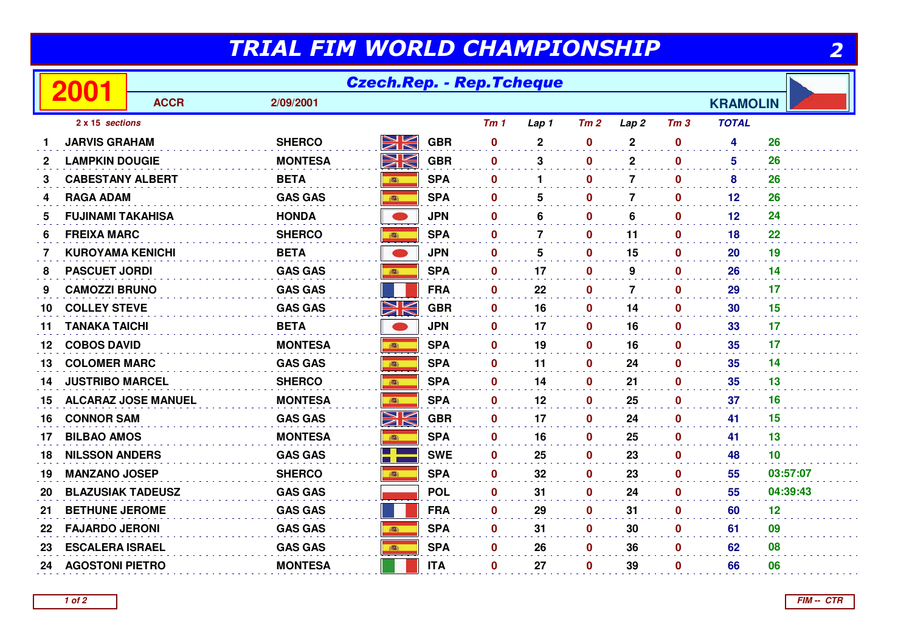## TRIAL FIM WORLD CHAMPIONSHIP

|                                         | TRIAL FIM WORLD CHAMPIONSHIP<br><u>2</u> |             |                |            |            |                 |                  |              |                  |                  |                 |          |
|-----------------------------------------|------------------------------------------|-------------|----------------|------------|------------|-----------------|------------------|--------------|------------------|------------------|-----------------|----------|
| <b>Czech.Rep. - Rep.Tcheque</b><br>2001 |                                          |             |                |            |            |                 |                  |              |                  |                  |                 |          |
|                                         |                                          | <b>ACCR</b> | 2/09/2001      |            |            |                 |                  |              |                  |                  | <b>KRAMOLIN</b> |          |
|                                         | 2 x 15 sections                          |             |                |            |            | Tm <sub>1</sub> | Lap 1            | Tm2          | Lap <sub>2</sub> | Tm <sub>3</sub>  | <b>TOTAL</b>    |          |
|                                         | <b>JARVIS GRAHAM</b>                     |             | <b>SHERCO</b>  | NK         | <b>GBR</b> | $\bf{0}$        | $\boldsymbol{2}$ | $\mathbf 0$  | $\mathbf 2$      | $\mathbf 0$      | 4               | 26       |
| $\mathbf{2}$                            | <b>LAMPKIN DOUGIE</b>                    |             | <b>MONTESA</b> | NK         | <b>GBR</b> | $\mathbf 0$     | 3                | $\mathbf{0}$ | $\mathbf{2}$     | $\mathbf 0$      | 5               | 26       |
| 3                                       | <b>CABESTANY ALBERT</b>                  |             | <b>BETA</b>    |            | <b>SPA</b> | $\mathbf 0$     | $\mathbf 1$      | $\mathbf 0$  | $\overline{7}$   | $\mathbf 0$      | 8               | 26       |
| 4                                       | <b>RAGA ADAM</b>                         |             | <b>GAS GAS</b> |            | <b>SPA</b> | $\mathbf 0$     | 5                | $\mathbf{0}$ | $\overline{7}$   | $\mathbf{0}$     | $12 \,$         | 26       |
| 5                                       | <b>FUJINAMI TAKAHISA</b>                 |             | <b>HONDA</b>   |            | <b>JPN</b> | $\mathbf 0$     | 6                | $\mathbf{0}$ | 6                | $\mathbf{0}$     | 12              | 24       |
| 6                                       | <b>FREIXA MARC</b>                       |             | <b>SHERCO</b>  |            | <b>SPA</b> | 0               | $\overline{7}$   | $\mathbf 0$  | 11               | $\mathbf 0$      | 18              | 22       |
| 7                                       | <b>KUROYAMA KENICHI</b>                  |             | <b>BETA</b>    |            | <b>JPN</b> | 0               | 5                | 0            | 15               | $\mathbf 0$      | 20              | 19       |
| 8                                       | <b>PASCUET JORDI</b>                     |             | <b>GAS GAS</b> | 高          | <b>SPA</b> | 0               | 17               | 0            | 9                | $\boldsymbol{0}$ | 26              | 14       |
| 9                                       | <b>CAMOZZI BRUNO</b>                     |             | <b>GAS GAS</b> |            | <b>FRA</b> | $\bf{0}$        | 22               | $\mathbf 0$  | $\overline{7}$   | $\mathbf{0}$     | 29              | 17       |
| 10                                      | <b>COLLEY STEVE</b>                      |             | <b>GAS GAS</b> | NK         | <b>GBR</b> | $\mathbf 0$     | 16               | 0            | 14               | $\mathbf 0$      | 30              | 15       |
| 11                                      | <b>TANAKA TAICHI</b>                     |             | <b>BETA</b>    |            | <b>JPN</b> | $\bf{0}$        | 17               | $\mathbf 0$  | 16               | $\mathbf 0$      | 33              | 17       |
| 12                                      | <b>COBOS DAVID</b>                       |             | <b>MONTESA</b> |            | <b>SPA</b> | $\mathbf{0}$    | 19               | $\mathbf 0$  | 16               | $\mathbf 0$      | 35              | 17       |
| 13                                      | <b>COLOMER MARC</b>                      |             | <b>GAS GAS</b> |            | <b>SPA</b> | $\bf{0}$        | 11               | $\mathbf 0$  | 24               | $\boldsymbol{0}$ | 35              | 14       |
| 14                                      | <b>JUSTRIBO MARCEL</b>                   |             | <b>SHERCO</b>  |            | <b>SPA</b> | 0               | 14               | 0            | 21               | 0                | 35              | 13       |
| 15                                      | <b>ALCARAZ JOSE MANUEL</b>               |             | <b>MONTESA</b> | 高          | <b>SPA</b> | $\mathbf 0$     | 12               | 0            | 25               | $\mathbf 0$      | 37              | 16       |
| 16                                      | <b>CONNOR SAM</b>                        |             | <b>GAS GAS</b> | NK<br>NK   | <b>GBR</b> | $\mathbf 0$     | 17               | $\mathbf 0$  | 24               | $\mathbf 0$      | 41              | 15       |
| 17                                      | <b>BILBAO AMOS</b>                       |             | <b>MONTESA</b> | 商          | <b>SPA</b> | $\mathbf 0$     | 16               | 0            | 25               | $\mathbf 0$      | 41              | 13       |
| 18                                      | <b>NILSSON ANDERS</b>                    |             | <b>GAS GAS</b> | <u>a y</u> | <b>SWE</b> | $\bf{0}$        | 25               | $\mathbf 0$  | 23               | $\mathbf 0$      | 48              | 10       |
| 19                                      | <b>MANZANO JOSEP</b>                     |             | <b>SHERCO</b>  | 高          | <b>SPA</b> | $\mathbf 0$     | 32               | $\mathbf 0$  | 23               | $\mathbf 0$      | 55              | 03:57:07 |
| 20                                      | <b>BLAZUSIAK TADEUSZ</b>                 |             | <b>GAS GAS</b> |            | <b>POL</b> | $\bf{0}$        | 31               | 0            | 24               | $\boldsymbol{0}$ | 55              | 04:39:43 |
| 21                                      | <b>BETHUNE JEROME</b>                    |             | <b>GAS GAS</b> |            | <b>FRA</b> | $\mathbf 0$     | 29               | $\mathbf 0$  | 31               | $\mathbf{0}$     | 60              | 12       |
| 22                                      | <b>FAJARDO JERONI</b>                    |             | <b>GAS GAS</b> | 高          | <b>SPA</b> | 0               | 31               | 0            | 30               | $\mathbf 0$      | 61              | 09       |
| 23                                      | <b>ESCALERA ISRAEL</b>                   |             | <b>GAS GAS</b> |            | <b>SPA</b> | 0               | 26               | $\mathbf 0$  | 36               | $\mathbf 0$      | 62              | 08       |
| 24                                      | <b>AGOSTONI PIETRO</b>                   |             | <b>MONTESA</b> |            | <b>ITA</b> | 0               | 27               | $\mathbf 0$  | 39               | $\mathbf{0}$     | 66              | 06       |
|                                         |                                          |             |                |            |            |                 |                  |              |                  |                  |                 |          |